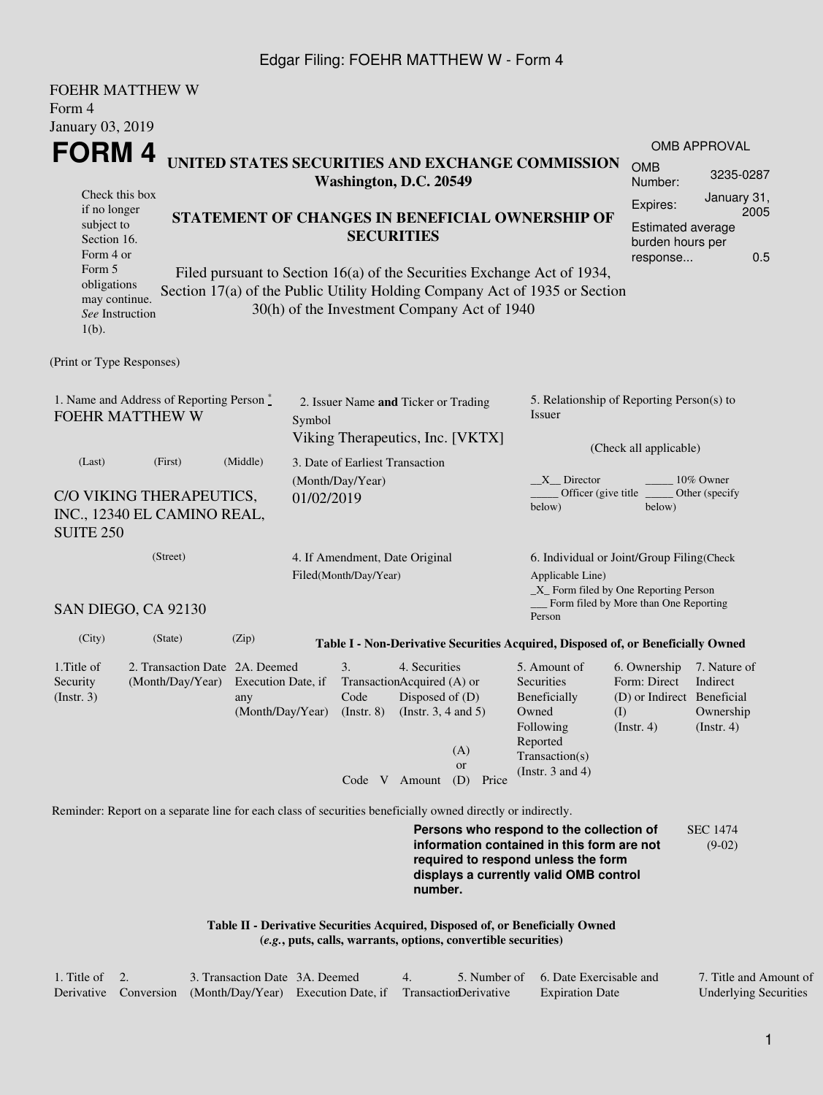## Edgar Filing: FOEHR MATTHEW W - Form 4

 $F \wedge T$ 

| FUEHR MAI IHEW W<br>Form 4                                                                                  |                                                                                    |                           |  |                                                         |  |                                                                                                                                       |                                                     |       |                                                                                                                                                                         |                                                                                       |                                                           |             |  |
|-------------------------------------------------------------------------------------------------------------|------------------------------------------------------------------------------------|---------------------------|--|---------------------------------------------------------|--|---------------------------------------------------------------------------------------------------------------------------------------|-----------------------------------------------------|-------|-------------------------------------------------------------------------------------------------------------------------------------------------------------------------|---------------------------------------------------------------------------------------|-----------------------------------------------------------|-------------|--|
| January 03, 2019                                                                                            |                                                                                    |                           |  |                                                         |  |                                                                                                                                       |                                                     |       |                                                                                                                                                                         |                                                                                       | OMB APPROVAL                                              |             |  |
| FORM 4                                                                                                      |                                                                                    |                           |  |                                                         |  |                                                                                                                                       |                                                     |       | UNITED STATES SECURITIES AND EXCHANGE COMMISSION                                                                                                                        | <b>OMB</b>                                                                            | 3235-0287                                                 |             |  |
| Check this box<br>if no longer<br>subject to<br>Section 16.<br>Form 4 or<br>Form 5                          |                                                                                    |                           |  | Washington, D.C. 20549<br><b>SECURITIES</b>             |  |                                                                                                                                       |                                                     |       | STATEMENT OF CHANGES IN BENEFICIAL OWNERSHIP OF<br>Filed pursuant to Section 16(a) of the Securities Exchange Act of 1934,                                              | Number:<br>Expires:<br>Estimated average<br>burden hours per<br>response              | January 31,                                               | 2005<br>0.5 |  |
| obligations<br>may continue.<br>See Instruction<br>$1(b)$ .                                                 |                                                                                    |                           |  | 30(h) of the Investment Company Act of 1940             |  |                                                                                                                                       |                                                     |       | Section 17(a) of the Public Utility Holding Company Act of 1935 or Section                                                                                              |                                                                                       |                                                           |             |  |
| (Print or Type Responses)                                                                                   |                                                                                    |                           |  |                                                         |  |                                                                                                                                       |                                                     |       |                                                                                                                                                                         |                                                                                       |                                                           |             |  |
| 1. Name and Address of Reporting Person*<br><b>FOEHR MATTHEW W</b>                                          | 2. Issuer Name and Ticker or Trading<br>Symbol<br>Viking Therapeutics, Inc. [VKTX] |                           |  |                                                         |  |                                                                                                                                       | 5. Relationship of Reporting Person(s) to<br>Issuer |       |                                                                                                                                                                         |                                                                                       |                                                           |             |  |
| (Last)                                                                                                      | (First)                                                                            | (Middle)                  |  | 3. Date of Earliest Transaction                         |  |                                                                                                                                       |                                                     |       |                                                                                                                                                                         | (Check all applicable)                                                                |                                                           |             |  |
| C/O VIKING THERAPEUTICS,<br>INC., 12340 EL CAMINO REAL,<br><b>SUITE 250</b>                                 |                                                                                    |                           |  | (Month/Day/Year)<br>01/02/2019                          |  |                                                                                                                                       |                                                     |       | $X$ Director<br>$10\%$ Owner<br>Officer (give title<br>Other (specify<br>below)<br>below)                                                                               |                                                                                       |                                                           |             |  |
| (Street)<br>SAN DIEGO, CA 92130                                                                             |                                                                                    |                           |  | 4. If Amendment, Date Original<br>Filed(Month/Day/Year) |  |                                                                                                                                       |                                                     |       | 6. Individual or Joint/Group Filing(Check<br>Applicable Line)<br>_X_ Form filed by One Reporting Person<br>Form filed by More than One Reporting<br>Person              |                                                                                       |                                                           |             |  |
| (City)                                                                                                      | (State)                                                                            | (Zip)                     |  |                                                         |  |                                                                                                                                       |                                                     |       | Table I - Non-Derivative Securities Acquired, Disposed of, or Beneficially Owned                                                                                        |                                                                                       |                                                           |             |  |
| 1. Title of<br>Security<br>(Insert. 3)                                                                      | 2. Transaction Date 2A. Deemed<br>(Month/Day/Year)                                 | Execution Date, if<br>any |  | 3.<br>Code                                              |  | 4. Securities<br>TransactionAcquired (A) or<br>Disposed of (D)<br>(Month/Day/Year) (Instr. 8) (Instr. 3, 4 and 5)<br>(A)<br><b>or</b> |                                                     |       | 5. Amount of<br>Securities<br>Beneficially<br>Owned<br>Following<br>Reported<br>Transaction(s)<br>(Instr. $3$ and $4$ )                                                 | 6. Ownership<br>Form: Direct<br>(D) or Indirect Beneficial<br>(I)<br>$($ Instr. 4 $)$ | 7. Nature of<br>Indirect<br>Ownership<br>$($ Instr. 4 $)$ |             |  |
|                                                                                                             |                                                                                    |                           |  | Code V Amount                                           |  |                                                                                                                                       | (D)                                                 | Price |                                                                                                                                                                         |                                                                                       |                                                           |             |  |
| Reminder: Report on a separate line for each class of securities beneficially owned directly or indirectly. |                                                                                    |                           |  |                                                         |  | number.                                                                                                                               |                                                     |       | Persons who respond to the collection of<br>information contained in this form are not<br>required to respond unless the form<br>displays a currently valid OMB control |                                                                                       | <b>SEC 1474</b><br>$(9-02)$                               |             |  |
|                                                                                                             |                                                                                    |                           |  |                                                         |  |                                                                                                                                       |                                                     |       | Table II - Derivative Securities Acquired, Disposed of, or Beneficially Owned<br>(e.g., puts, calls, warrants, options, convertible securities)                         |                                                                                       |                                                           |             |  |

| 1. Title of | 3. Transaction Date 3A. Deemed                                                   |  | 5. Number of 6. Date Exercisable and | 7. Title and Amount of       |
|-------------|----------------------------------------------------------------------------------|--|--------------------------------------|------------------------------|
|             | Derivative Conversion (Month/Day/Year) Execution Date, if Transaction Derivative |  | <b>Expiration Date</b>               | <b>Underlying Securities</b> |